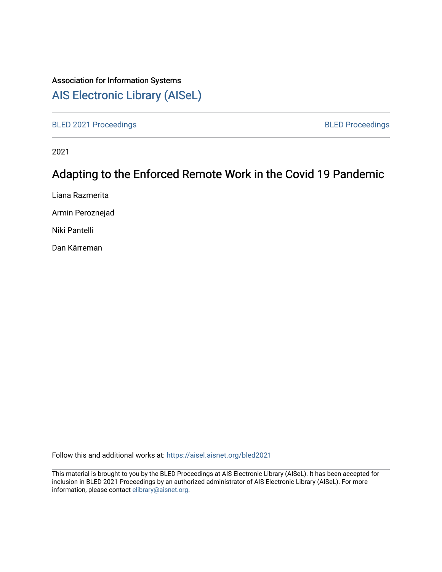## Association for Information Systems

## [AIS Electronic Library \(AISeL\)](https://aisel.aisnet.org/)

[BLED 2021 Proceedings](https://aisel.aisnet.org/bled2021) **BLED Proceedings** 

2021

# Adapting to the Enforced Remote Work in the Covid 19 Pandemic

Liana Razmerita

Armin Peroznejad

Niki Pantelli

Dan Kärreman

Follow this and additional works at: [https://aisel.aisnet.org/bled2021](https://aisel.aisnet.org/bled2021?utm_source=aisel.aisnet.org%2Fbled2021%2F21&utm_medium=PDF&utm_campaign=PDFCoverPages) 

This material is brought to you by the BLED Proceedings at AIS Electronic Library (AISeL). It has been accepted for inclusion in BLED 2021 Proceedings by an authorized administrator of AIS Electronic Library (AISeL). For more information, please contact [elibrary@aisnet.org.](mailto:elibrary@aisnet.org%3E)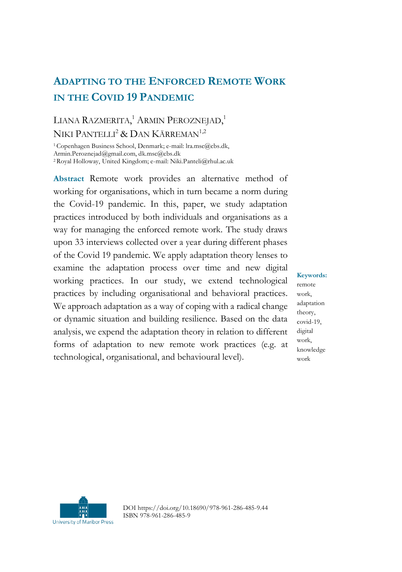## **ADAPTING TO THE ENFORCED REMOTE WORK IN THE COVID 19 PANDEMIC**

### LIANA RAZMERITA,<sup>1</sup> ARMIN PEROZNEJAD,<sup>1</sup> NIKI PANTELLI<sup>2</sup> & DAN KÄRREMAN<sup>1,2</sup>

<sup>1</sup>Copenhagen Business School, Denmark; e-mail: lra.msc@cbs.dk, Armin.Peroznejad@gmail.com, dk.msc@cbs.dk

<sup>2</sup>Royal Holloway, United Kingdom; e-mail: Niki.Panteli@rhul.ac.uk

**Abstract** Remote work provides an alternative method of working for organisations, which in turn became a norm during the Covid-19 pandemic. In this, paper, we study adaptation practices introduced by both individuals and organisations as a way for managing the enforced remote work. The study draws upon 33 interviews collected over a year during different phases of the Covid 19 pandemic. We apply adaptation theory lenses to examine the adaptation process over time and new digital working practices. In our study, we extend technological practices by including organisational and behavioral practices. We approach adaptation as a way of coping with a radical change or dynamic situation and building resilience. Based on the data analysis, we expend the adaptation theory in relation to different forms of adaptation to new remote work practices (e.g. at technological, organisational, and behavioural level).

**Keywords:** remote work, adaptation theory, covid-19, digital work, knowledge work



DOI https://doi.org/10.18690/978-961-286-485-9.44 ISBN 978-961-286-485-9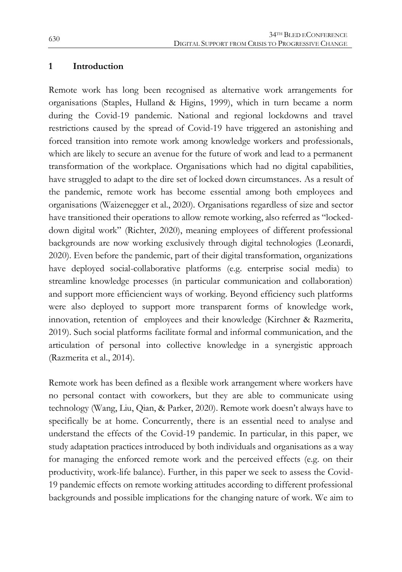#### **1 Introduction**

Remote work has long been recognised as alternative work arrangements for organisations (Staples, Hulland & Higins, 1999), which in turn became a norm during the Covid-19 pandemic. National and regional lockdowns and travel restrictions caused by the spread of Covid-19 have triggered an astonishing and forced transition into remote work among knowledge workers and professionals, which are likely to secure an avenue for the future of work and lead to a permanent transformation of the workplace. Organisations which had no digital capabilities, have struggled to adapt to the dire set of locked down circumstances. As a result of the pandemic, remote work has become essential among both employees and organisations (Waizenegger et al., 2020). Organisations regardless of size and sector have transitioned their operations to allow remote working, also referred as "lockeddown digital work" (Richter, 2020), meaning employees of different professional backgrounds are now working exclusively through digital technologies (Leonardi, 2020). Even before the pandemic, part of their digital transformation, organizations have deployed social-collaborative platforms (e.g. enterprise social media) to streamline knowledge processes (in particular communication and collaboration) and support more efficiencient ways of working. Beyond efficiency such platforms were also deployed to support more transparent forms of knowledge work, innovation, retention of employees and their knowledge (Kirchner & Razmerita, 2019). Such social platforms facilitate formal and informal communication, and the articulation of personal into collective knowledge in a synergistic approach (Razmerita et al., 2014).

Remote work has been defined as a flexible work arrangement where workers have no personal contact with coworkers, but they are able to communicate using technology (Wang, Liu, Qian, & Parker, 2020). Remote work doesn't always have to specifically be at home. Concurrently, there is an essential need to analyse and understand the effects of the Covid-19 pandemic. In particular, in this paper, we study adaptation practices introduced by both individuals and organisations as a way for managing the enforced remote work and the perceived effects (e.g. on their productivity, work-life balance). Further, in this paper we seek to assess the Covid-19 pandemic effects on remote working attitudes according to different professional backgrounds and possible implications for the changing nature of work. We aim to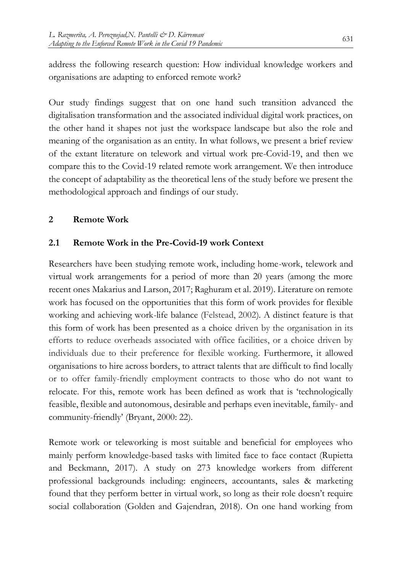address the following research question: How individual knowledge workers and organisations are adapting to enforced remote work?

Our study findings suggest that on one hand such transition advanced the digitalisation transformation and the associated individual digital work practices, on the other hand it shapes not just the workspace landscape but also the role and meaning of the organisation as an entity. In what follows, we present a brief review of the extant literature on telework and virtual work pre-Covid-19, and then we compare this to the Covid-19 related remote work arrangement. We then introduce the concept of adaptability as the theoretical lens of the study before we present the methodological approach and findings of our study.

#### **2 Remote Work**

#### **2.1 Remote Work in the Pre-Covid-19 work Context**

Researchers have been studying remote work, including home-work, telework and virtual work arrangements for a period of more than 20 years (among the more recent ones Makarius and Larson, 2017; Raghuram et al. 2019). Literature on remote work has focused on the opportunities that this form of work provides for flexible working and achieving work-life balance (Felstead, 2002). A distinct feature is that this form of work has been presented as a choice driven by the organisation in its efforts to reduce overheads associated with office facilities, or a choice driven by individuals due to their preference for flexible working. Furthermore, it allowed organisations to hire across borders, to attract talents that are difficult to find locally or to offer family-friendly employment contracts to those who do not want to relocate. For this, remote work has been defined as work that is 'technologically feasible, flexible and autonomous, desirable and perhaps even inevitable, family- and community-friendly' (Bryant, 2000: 22).

Remote work or teleworking is most suitable and beneficial for employees who mainly perform knowledge-based tasks with limited face to face contact (Rupietta and Beckmann, 2017). A study on 273 knowledge workers from different professional backgrounds including: engineers, accountants, sales & marketing found that they perform better in virtual work, so long as their role doesn't require social collaboration (Golden and Gajendran, 2018). On one hand working from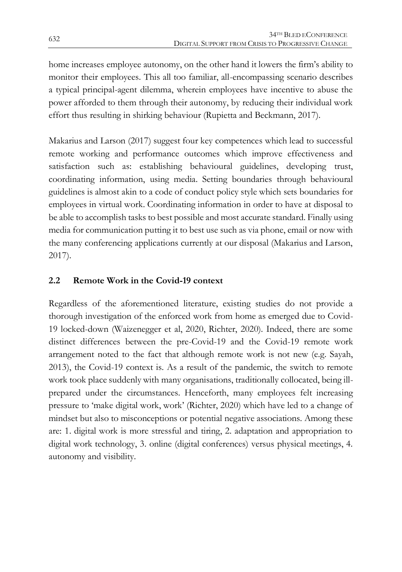home increases employee autonomy, on the other hand it lowers the firm's ability to monitor their employees. This all too familiar, all-encompassing scenario describes a typical principal-agent dilemma, wherein employees have incentive to abuse the power afforded to them through their autonomy, by reducing their individual work effort thus resulting in shirking behaviour (Rupietta and Beckmann, 2017).

Makarius and Larson (2017) suggest four key competences which lead to successful remote working and performance outcomes which improve effectiveness and satisfaction such as: establishing behavioural guidelines, developing trust, coordinating information, using media. Setting boundaries through behavioural guidelines is almost akin to a code of conduct policy style which sets boundaries for employees in virtual work. Coordinating information in order to have at disposal to be able to accomplish tasks to best possible and most accurate standard. Finally using media for communication putting it to best use such as via phone, email or now with the many conferencing applications currently at our disposal (Makarius and Larson, 2017).

### **2.2 Remote Work in the Covid-19 context**

Regardless of the aforementioned literature, existing studies do not provide a thorough investigation of the enforced work from home as emerged due to Covid-19 locked-down (Waizenegger et al, 2020, Richter, 2020). Indeed, there are some distinct differences between the pre-Covid-19 and the Covid-19 remote work arrangement noted to the fact that although remote work is not new (e.g. Sayah, 2013), the Covid-19 context is. As a result of the pandemic, the switch to remote work took place suddenly with many organisations, traditionally collocated, being illprepared under the circumstances. Henceforth, many employees felt increasing pressure to 'make digital work, work' (Richter, 2020) which have led to a change of mindset but also to misconceptions or potential negative associations. Among these are: 1. digital work is more stressful and tiring, 2. adaptation and appropriation to digital work technology, 3. online (digital conferences) versus physical meetings, 4. autonomy and visibility.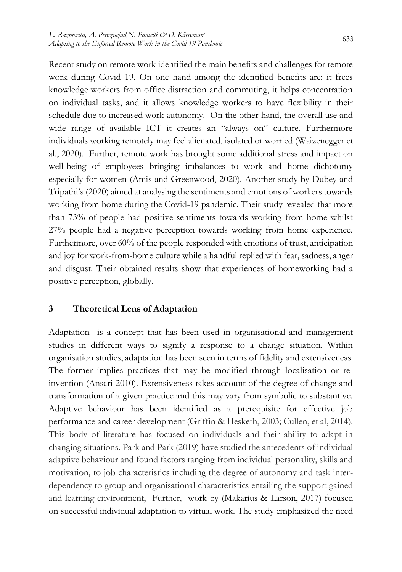Recent study on remote work identified the main benefits and challenges for remote work during Covid 19. On one hand among the identified benefits are: it frees knowledge workers from office distraction and commuting, it helps concentration on individual tasks, and it allows knowledge workers to have flexibility in their schedule due to increased work autonomy. On the other hand, the overall use and wide range of available ICT it creates an "always on" culture. Furthermore individuals working remotely may feel alienated, isolated or worried (Waizenegger et al., 2020). Further, remote work has brought some additional stress and impact on well-being of employees bringing imbalances to work and home dichotomy especially for women (Amis and Greenwood, 2020). Another study by Dubey and Tripathi's (2020) aimed at analysing the sentiments and emotions of workers towards working from home during the Covid-19 pandemic. Their study revealed that more than 73% of people had positive sentiments towards working from home whilst 27% people had a negative perception towards working from home experience. Furthermore, over 60% of the people responded with emotions of trust, anticipation and joy for work-from-home culture while a handful replied with fear, sadness, anger and disgust. Their obtained results show that experiences of homeworking had a positive perception, globally.

#### **3 Theoretical Lens of Adaptation**

Adaptation is a concept that has been used in organisational and management studies in different ways to signify a response to a change situation. Within organisation studies, adaptation has been seen in terms of fidelity and extensiveness. The former implies practices that may be modified through localisation or reinvention (Ansari 2010). Extensiveness takes account of the degree of change and transformation of a given practice and this may vary from symbolic to substantive. Adaptive behaviour has been identified as a prerequisite for effective job performance and career development (Griffin & Hesketh, 2003; Cullen, et al, 2014). This body of literature has focused on individuals and their ability to adapt in changing situations. Park and Park (2019) have studied the antecedents of individual adaptive behaviour and found factors ranging from individual personality, skills and motivation, to job characteristics including the degree of autonomy and task interdependency to group and organisational characteristics entailing the support gained and learning environment, Further, work by (Makarius & Larson, 2017) focused on successful individual adaptation to virtual work. The study emphasized the need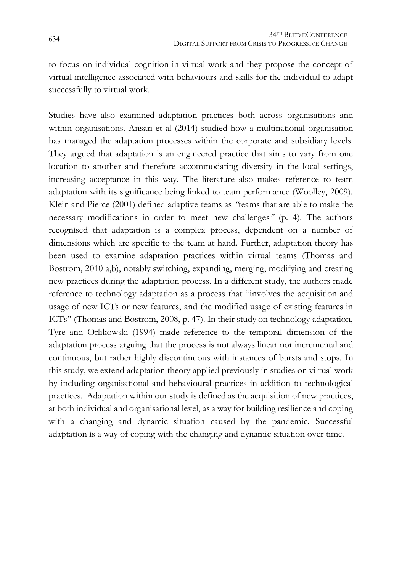to focus on individual cognition in virtual work and they propose the concept of virtual intelligence associated with behaviours and skills for the individual to adapt successfully to virtual work.

Studies have also examined adaptation practices both across organisations and within organisations. Ansari et al (2014) studied how a multinational organisation has managed the adaptation processes within the corporate and subsidiary levels. They argued that adaptation is an engineered practice that aims to vary from one location to another and therefore accommodating diversity in the local settings, increasing acceptance in this way. The literature also makes reference to team adaptation with its significance being linked to team performance (Woolley, 2009). Klein and Pierce (2001) defined adaptive teams as *"*teams that are able to make the necessary modifications in order to meet new challenges*"* (p. 4). The authors recognised that adaptation is a complex process, dependent on a number of dimensions which are specific to the team at hand. Further, adaptation theory has been used to examine adaptation practices within virtual teams (Thomas and Bostrom, 2010 a,b), notably switching, expanding, merging, modifying and creating new practices during the adaptation process. In a different study, the authors made reference to technology adaptation as a process that "involves the acquisition and usage of new ICTs or new features, and the modified usage of existing features in ICTs" (Thomas and Bostrom, 2008, p. 47). In their study on technology adaptation, Tyre and Orlikowski (1994) made reference to the temporal dimension of the adaptation process arguing that the process is not always linear nor incremental and continuous, but rather highly discontinuous with instances of bursts and stops. In this study, we extend adaptation theory applied previously in studies on virtual work by including organisational and behavioural practices in addition to technological practices. Adaptation within our study is defined as the acquisition of new practices, at both individual and organisational level, as a way for building resilience and coping with a changing and dynamic situation caused by the pandemic. Successful adaptation is a way of coping with the changing and dynamic situation over time.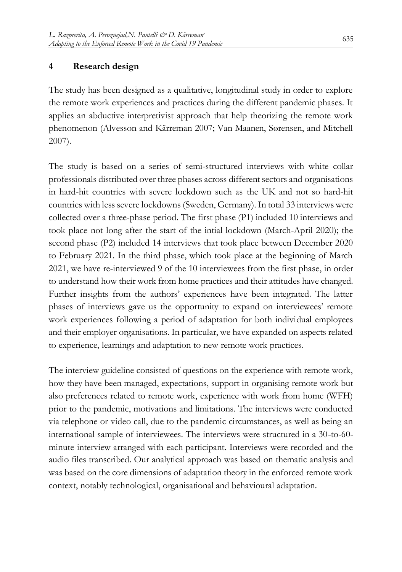#### **4 Research design**

The study has been designed as a qualitative, longitudinal study in order to explore the remote work experiences and practices during the different pandemic phases. It applies an abductive interpretivist approach that help theorizing the remote work phenomenon (Alvesson and Kärreman 2007; Van Maanen, Sørensen, and Mitchell 2007).

The study is based on a series of semi-structured interviews with white collar professionals distributed over three phases across different sectors and organisations in hard-hit countries with severe lockdown such as the UK and not so hard-hit countries with less severe lockdowns (Sweden, Germany). In total 33 interviews were collected over a three-phase period. The first phase (P1) included 10 interviews and took place not long after the start of the intial lockdown (March-April 2020); the second phase (P2) included 14 interviews that took place between December 2020 to February 2021. In the third phase, which took place at the beginning of March 2021, we have re-interviewed 9 of the 10 interviewees from the first phase, in order to understand how their work from home practices and their attitudes have changed. Further insights from the authors' experiences have been integrated. The latter phases of interviews gave us the opportunity to expand on interviewees' remote work experiences following a period of adaptation for both individual employees and their employer organisations. In particular, we have expanded on aspects related to experience, learnings and adaptation to new remote work practices.

The interview guideline consisted of questions on the experience with remote work, how they have been managed, expectations, support in organising remote work but also preferences related to remote work, experience with work from home (WFH) prior to the pandemic, motivations and limitations. The interviews were conducted via telephone or video call, due to the pandemic circumstances, as well as being an international sample of interviewees. The interviews were structured in a 30-to-60 minute interview arranged with each participant. Interviews were recorded and the audio files transcribed. Our analytical approach was based on thematic analysis and was based on the core dimensions of adaptation theory in the enforced remote work context, notably technological, organisational and behavioural adaptation.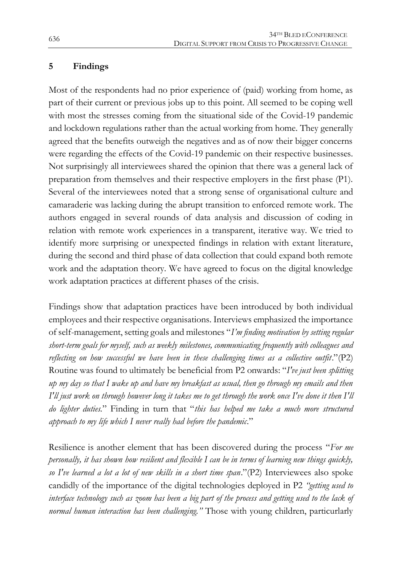#### **5 Findings**

Most of the respondents had no prior experience of (paid) working from home, as part of their current or previous jobs up to this point. All seemed to be coping well with most the stresses coming from the situational side of the Covid-19 pandemic and lockdown regulations rather than the actual working from home. They generally agreed that the benefits outweigh the negatives and as of now their bigger concerns were regarding the effects of the Covid-19 pandemic on their respective businesses. Not surprisingly all interviewees shared the opinion that there was a general lack of preparation from themselves and their respective employers in the first phase (P1). Several of the interviewees noted that a strong sense of organisational culture and camaraderie was lacking during the abrupt transition to enforced remote work. The authors engaged in several rounds of data analysis and discussion of coding in relation with remote work experiences in a transparent, iterative way. We tried to identify more surprising or unexpected findings in relation with extant literature, during the second and third phase of data collection that could expand both remote work and the adaptation theory. We have agreed to focus on the digital knowledge work adaptation practices at different phases of the crisis.

Findings show that adaptation practices have been introduced by both individual employees and their respective organisations. Interviews emphasized the importance of self-management, setting goals and milestones "*I'm finding motivation by setting regular short-term goals for myself, such as weekly milestones, communicating frequently with colleagues and*  reflecting on how successful we have been in these challenging times as a collective outfit."(P2) Routine was found to ultimately be beneficial from P2 onwards: "*I've just been splitting up my day so that I wake up and have my breakfast as usual, then go through my emails and then I'll just work on through however long it takes me to get through the work once I've done it then I'll do lighter duties.*" Finding in turn that "*this has helped me take a much more structured approach to my life which I never really had before the pandemic*."

Resilience is another element that has been discovered during the process "*For me personally, it has shown how resilient and flexible I can be in terms of learning new things quickly, so I've learned a lot a lot of new skills in a short time span*."(P2) Interviewees also spoke candidly of the importance of the digital technologies deployed in P2 *"getting used to interface technology such as zoom has been a big part of the process and getting used to the lack of normal human interaction has been challenging."* Those with young children, particurlarly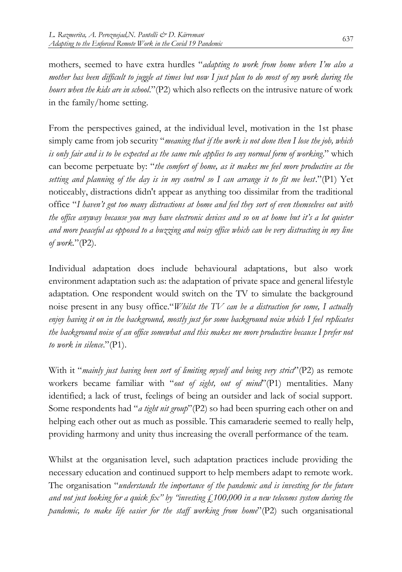mothers, seemed to have extra hurdles "*adapting to work from home where I'm also a mother has been difficult to juggle at times but now I just plan to do most of my work during the hours when the kids are in school*."(P2) which also reflects on the intrusive nature of work in the family/home setting.

From the perspectives gained, at the individual level, motivation in the 1st phase simply came from job security "*meaning that if the work is not done then I lose the job, which is only fair and is to be expected as the same rule applies to any normal form of working*." which can become perpetuate by: "*the comfort of home, as it makes me feel more productive as the setting and planning of the day is in my control so I can arrange it to fit me best*."(P1) Yet noticeably, distractions didn't appear as anything too dissimilar from the traditional office "*I haven't got too many distractions at home and feel they sort of even themselves out with the office anyway because you may have electronic devices and so on at home but it's a lot quieter and more peaceful as opposed to a buzzing and noisy office which can be very distracting in my line of work.*"(P2).

Individual adaptation does include behavioural adaptations, but also work environment adaptation such as: the adaptation of private space and general lifestyle adaptation. One respondent would switch on the TV to simulate the background noise present in any busy office."*Whilst the TV can be a distraction for some, I actually enjoy having it on in the background, mostly just for some background noise which I feel replicates the background noise of an office somewhat and this makes me more productive because I prefer not to work in silence*."(P1).

With it "*mainly just having been sort of limiting myself and being very strict*"(P2) as remote workers became familiar with "*out of sight, out of mind*"(P1) mentalities. Many identified; a lack of trust, feelings of being an outsider and lack of social support. Some respondents had "*a tight nit group*"(P2) so had been spurring each other on and helping each other out as much as possible. This camaraderie seemed to really help, providing harmony and unity thus increasing the overall performance of the team.

Whilst at the organisation level, such adaptation practices include providing the necessary education and continued support to help members adapt to remote work. The organisation "*understands the importance of the pandemic and is investing for the future and not just looking for a quick fix" by "investing £100,000 in a new telecoms system during the pandemic, to make life easier for the staff working from home*"(P2) such organisational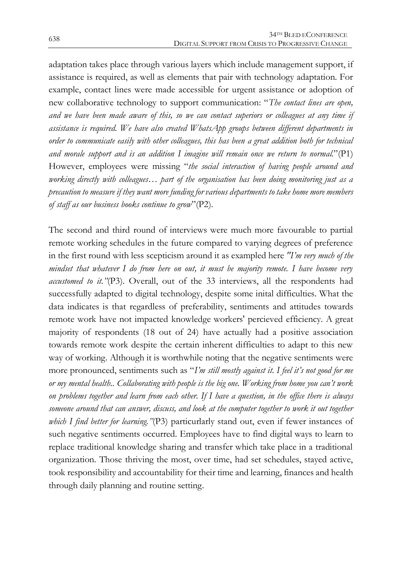adaptation takes place through various layers which include management support, if assistance is required, as well as elements that pair with technology adaptation. For example, contact lines were made accessible for urgent assistance or adoption of new collaborative technology to support communication: "*The contact lines are open, and we have been made aware of this, so we can contact superiors or colleagues at any time if assistance is required. We have also created WhatsApp groups between different departments in order to communicate easily with other colleagues, this has been a great addition both for technical and morale support and is an addition I imagine will remain once we return to normal.*"(P1) However, employees were missing "*the social interaction of having people around and working directly with colleagues… part of the organisation has been doing monitoring just as a precaution to measure if they want more funding for various departments to take home more members of staff as our business books continue to grow*"(P2).

The second and third round of interviews were much more favourable to partial remote working schedules in the future compared to varying degrees of preference in the first round with less scepticism around it as exampled here *"I'm very much of the mindset that whatever I do from here on out, it must be majority remote. I have become very accustomed to it."*(P3). Overall, out of the 33 interviews, all the respondents had successfully adapted to digital technology, despite some inital difficulties. What the data indicates is that regardless of preferability, sentiments and attitudes towards remote work have not impacted knowledge workers' percieved efficiency. A great majority of respondents (18 out of 24) have actually had a positive association towards remote work despite the certain inherent difficulties to adapt to this new way of working. Although it is worthwhile noting that the negative sentiments were more pronounced, sentiments such as "*I'm still mostly against it. I feel it's not good for me or my mental health.. Collaborating with people is the big one. Working from home you can't work on problems together and learn from each other. If I have a question, in the office there is always someone around that can answer, discuss, and look at the computer together to work it out together which I find better for learning."*(P3) particurlarly stand out, even if fewer instances of such negative sentiments occurred. Employees have to find digital ways to learn to replace traditional knowledge sharing and transfer which take place in a traditional organization. Those thriving the most, over time, had set schedules, stayed active, took responsibility and accountability for their time and learning, finances and health through daily planning and routine setting.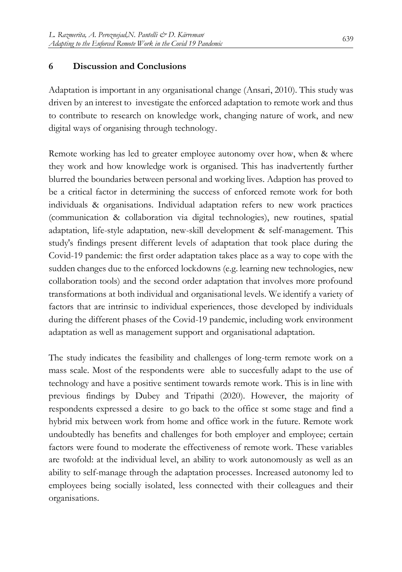#### **6 Discussion and Conclusions**

Adaptation is important in any organisational change (Ansari, 2010). This study was driven by an interest to investigate the enforced adaptation to remote work and thus to contribute to research on knowledge work, changing nature of work, and new digital ways of organising through technology.

Remote working has led to greater employee autonomy over how, when & where they work and how knowledge work is organised. This has inadvertently further blurred the boundaries between personal and working lives. Adaption has proved to be a critical factor in determining the success of enforced remote work for both individuals & organisations. Individual adaptation refers to new work practices (communication & collaboration via digital technologies), new routines, spatial adaptation, life-style adaptation, new-skill development & self-management. This study's findings present different levels of adaptation that took place during the Covid-19 pandemic: the first order adaptation takes place as a way to cope with the sudden changes due to the enforced lockdowns (e.g. learning new technologies, new collaboration tools) and the second order adaptation that involves more profound transformations at both individual and organisational levels. We identify a variety of factors that are intrinsic to individual experiences, those developed by individuals during the different phases of the Covid-19 pandemic, including work environment adaptation as well as management support and organisational adaptation.

The study indicates the feasibility and challenges of long-term remote work on a mass scale. Most of the respondents were able to succesfully adapt to the use of technology and have a positive sentiment towards remote work. This is in line with previous findings by Dubey and Tripathi (2020). However, the majority of respondents expressed a desire to go back to the office st some stage and find a hybrid mix between work from home and office work in the future. Remote work undoubtedly has benefits and challenges for both employer and employee; certain factors were found to moderate the effectiveness of remote work. These variables are twofold: at the individual level, an ability to work autonomously as well as an ability to self-manage through the adaptation processes. Increased autonomy led to employees being socially isolated, less connected with their colleagues and their organisations.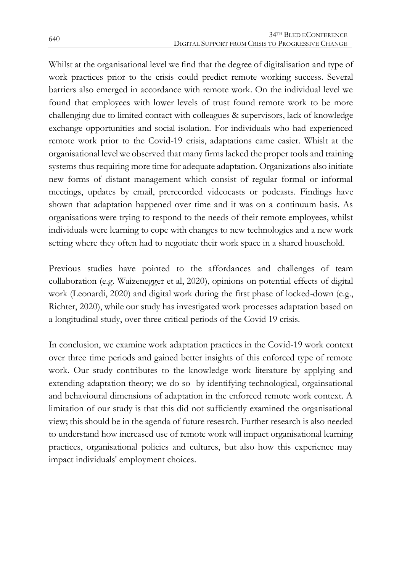Whilst at the organisational level we find that the degree of digitalisation and type of work practices prior to the crisis could predict remote working success. Several barriers also emerged in accordance with remote work. On the individual level we found that employees with lower levels of trust found remote work to be more challenging due to limited contact with colleagues & supervisors, lack of knowledge exchange opportunities and social isolation. For individuals who had experienced remote work prior to the Covid-19 crisis, adaptations came easier. Whislt at the organisational level we observed that many firms lacked the proper tools and training systems thus requiring more time for adequate adaptation. Organizations also initiate new forms of distant management which consist of regular formal or informal meetings, updates by email, prerecorded videocasts or podcasts. Findings have shown that adaptation happened over time and it was on a continuum basis. As organisations were trying to respond to the needs of their remote employees, whilst individuals were learning to cope with changes to new technologies and a new work setting where they often had to negotiate their work space in a shared household.

Previous studies have pointed to the affordances and challenges of team collaboration (e.g. Waizenegger et al, 2020), opinions on potential effects of digital work (Leonardi, 2020) and digital work during the first phase of locked-down (e.g., Richter, 2020), while our study has investigated work processes adaptation based on a longitudinal study, over three critical periods of the Covid 19 crisis.

In conclusion, we examine work adaptation practices in the Covid-19 work context over three time periods and gained better insights of this enforced type of remote work. Our study contributes to the knowledge work literature by applying and extending adaptation theory; we do so by identifying technological, orgainsational and behavioural dimensions of adaptation in the enforced remote work context. A limitation of our study is that this did not sufficiently examined the organisational view; this should be in the agenda of future research. Further research is also needed to understand how increased use of remote work will impact organisational learning practices, organisational policies and cultures, but also how this experience may impact individuals' employment choices.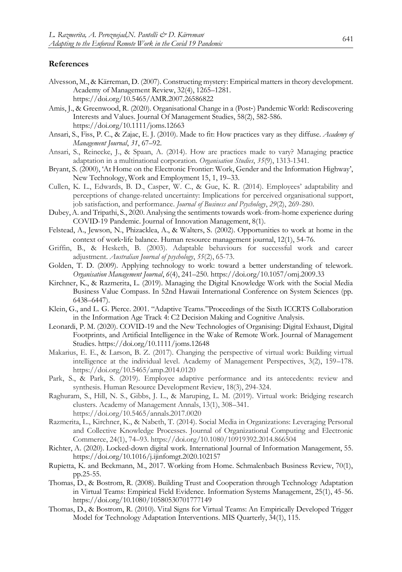#### **References**

- Alvesson, M., & Kärreman, D. (2007). Constructing mystery: Empirical matters in theory development. Academy of Management Review, 32(4), 1265–1281. https://doi.org/10.5465/AMR.2007.26586822
- Amis, J., & Greenwood, R. (2020). Organisational Change in a (Post‐) Pandemic World: Rediscovering Interests and Values. Journal Of Management Studies, 58(2), 582-586. https://doi.org/10.1111/joms.12663
- Ansari, S., Fiss, P. C., & Zajac, E. J. (2010). Made to fit: How practices vary as they diffuse. *Academy of Management Journal*, *31*, 67–92.
- Ansari, S., Reinecke, J., & Spaan, A. (2014). How are practices made to vary? Managing practice adaptation in a multinational corporation. *Organisation Studies*, *35*(9), 1313-1341.
- Bryant, S. (2000), 'At Home on the Electronic Frontier: Work, Gender and the Information Highway', New Technology, Work and Employment 15, 1, 19–33.
- Cullen, K. L., Edwards, B. D., Casper, W. C., & Gue, K. R. (2014). Employees' adaptability and perceptions of change-related uncertainty: Implications for perceived organisational support, job satisfaction, and performance. *Journal of Business and Psychology*, *29*(2), 269-280.
- Dubey, A. and Tripathi, S., 2020. Analysing the sentiments towards work-from-home experience during COVID-19 Pandemic. Journal of Innovation Management, 8(1).
- Felstead, A., Jewson, N., Phizacklea, A., & Walters, S. (2002). Opportunities to work at home in the context of work‐life balance. Human resource management journal, 12(1), 54-76.
- Griffin, B., & Hesketh, B. (2003). Adaptable behaviours for successful work and career adjustment. *Australian Journal of psychology*, *55*(2), 65-73.
- Golden, T. D. (2009). Applying technology to work: toward a better understanding of telework. *Organisation Management Journal*, *6*(4), 241–250. https://doi.org/10.1057/omj.2009.33
- Kirchner, K., & Razmerita, L. (2019). Managing the Digital Knowledge Work with the Social Media Business Value Compass. In 52nd Hawaii International Conference on System Sciences (pp. 6438–6447).
- Klein, G., and L. G. Pierce. 2001. "Adaptive Teams."Proceedings of the Sixth ICCRTS Collaboration in the Information Age Track 4: C2 Decision Making and Cognitive Analysis.
- Leonardi, P. M. (2020). COVID-19 and the New Technologies of Organising: Digital Exhaust, Digital Footprints, and Artificial Intelligence in the Wake of Remote Work. Journal of Management Studies. https://doi.org/10.1111/joms.12648
- Makarius, E. E., & Larson, B. Z. (2017). Changing the perspective of virtual work: Building virtual intelligence at the individual level. Academy of Management Perspectives, 3(2), 159–178. <https://doi.org/10.5465/amp.2014.0120>
- Park, S., & Park, S. (2019). Employee adaptive performance and its antecedents: review and synthesis. Human Resource Development Review, 18(3), 294-324.
- Raghuram, S., Hill, N. S., Gibbs, J. L., & Maruping, L. M. (2019). Virtual work: Bridging research clusters. Academy of Management Annals, 13(1), 308–341. <https://doi.org/10.5465/annals.2017.0020>
- Razmerita, L., Kirchner, K., & Nabeth, T. (2014). Social Media in Organizations: Leveraging Personal and Collective Knowledge Processes. Journal of Organizational Computing and Electronic Commerce, 24(1), 74–93. https://doi.org/10.1080/10919392.2014.866504
- Richter, A. (2020). Locked-down digital work. International Journal of Information Management, 55. https://doi.org/10.1016/j.ijinfomgt.2020.102157
- Rupietta, K. and Beckmann, M., 2017. Working from Home. Schmalenbach Business Review, 70(1), pp.25-55.
- Thomas, D., & Bostrom, R. (2008). Building Trust and Cooperation through Technology Adaptation in Virtual Teams: Empirical Field Evidence. Information Systems Management, 25(1), 45-56. https://doi.org/10.1080/10580530701777149
- Thomas, D., & Bostrom, R. (2010). Vital Signs for Virtual Teams: An Empirically Developed Trigger Model for Technology Adaptation Interventions. MIS Quarterly, 34(1), 115.